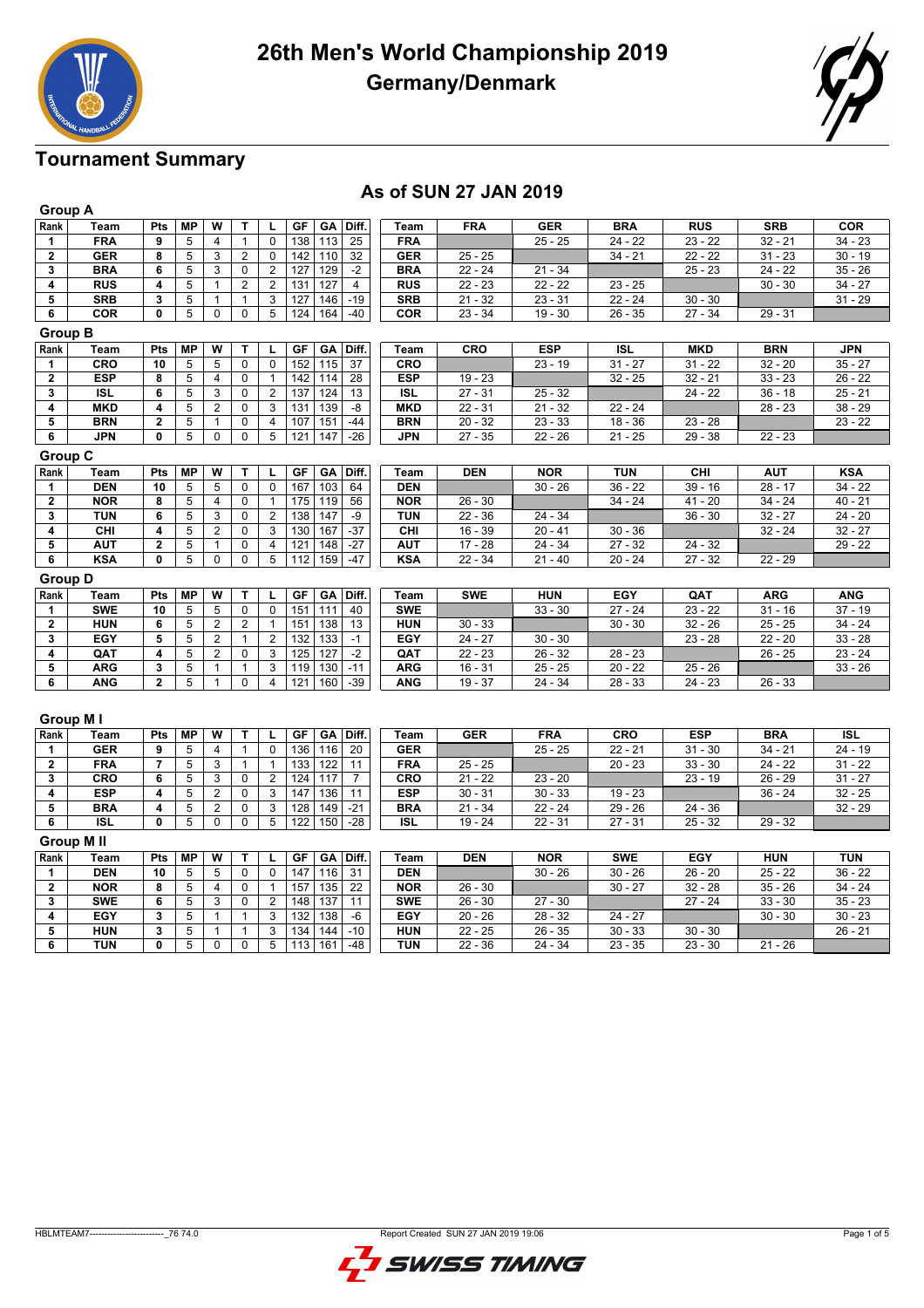



## **Tournament Summary**

#### **As of SUN 27 JAN 2019**

|                         | <b>Group A</b>   |                         |                         |                         |                |                         |                               |            |            |            |                      |            |            |            |
|-------------------------|------------------|-------------------------|-------------------------|-------------------------|----------------|-------------------------|-------------------------------|------------|------------|------------|----------------------|------------|------------|------------|
| Rank                    | Team             | Pts                     | <b>MP</b>               | W                       | т              | L                       | GF<br>GA<br>Diff.             | Team       | <b>FRA</b> | <b>GER</b> | <b>BRA</b>           | <b>RUS</b> | <b>SRB</b> | <b>COR</b> |
| 1                       | <b>FRA</b>       | 9                       | 5                       | 4                       | $\mathbf{1}$   | $\pmb{0}$               | $\overline{25}$<br>138<br>113 | <b>FRA</b> |            | $25 - 25$  | $24 - 22$            | $23 - 22$  | $32 - 21$  | $34 - 23$  |
| $\mathbf{2}$            | <b>GER</b>       | 8                       | $\overline{5}$          | 3                       | $\overline{2}$ | $\pmb{0}$               | 142<br>110<br>32              | <b>GER</b> | $25 - 25$  |            | $34 - 21$            | $22 - 22$  | $31 - 23$  | $30 - 19$  |
| 3                       | <b>BRA</b>       | 6                       | 5                       | 3                       | 0              | $\boldsymbol{2}$        | 127<br>129<br>$-2$            | <b>BRA</b> | $22 - 24$  | $21 - 34$  |                      | $25 - 23$  | $24 - 22$  | $35 - 26$  |
| 4                       | <b>RUS</b>       | 4                       | 5                       | $\mathbf{1}$            | $\overline{2}$ | $\overline{c}$          | 131<br>127<br>$\overline{4}$  | <b>RUS</b> | $22 - 23$  | $22 - 22$  | $23 - 25$            |            | $30 - 30$  | $34 - 27$  |
| 5                       | <b>SRB</b>       | 3                       | $\overline{5}$          | $\mathbf{1}$            | $\mathbf{1}$   | 3                       | 127<br>146<br>$-19$           | <b>SRB</b> | $21 - 32$  | $23 - 31$  | $22 - 24$            | $30 - 30$  |            | $31 - 29$  |
| $\overline{\mathbf{6}}$ | COR              | 0                       | $\overline{5}$          | $\pmb{0}$               | 0              | $\overline{5}$          | 124<br>164<br>$-40$           | COR        | $23 - 34$  | $19 - 30$  | $26 - 35$            | $27 - 34$  | $29 - 31$  |            |
| <b>Group B</b>          |                  |                         |                         |                         |                |                         |                               |            |            |            |                      |            |            |            |
| Rank                    | Team             | Pts                     | <b>MP</b>               | W                       | Т              | L                       | GF<br>GA<br>Diff.             | Team       | <b>CRO</b> | <b>ESP</b> | <b>ISL</b>           | <b>MKD</b> | <b>BRN</b> | <b>JPN</b> |
| 1                       | CRO              | 10                      | 5                       | 5                       | 0              | $\pmb{0}$               | 152<br>115<br>37              | CRO        |            | $23 - 19$  | $31 - 27$            | $31 - 22$  | $32 - 20$  | $35 - 27$  |
| $\overline{\mathbf{2}}$ | <b>ESP</b>       | 8                       | 5                       | $\overline{4}$          | 0              | $\mathbf{1}$            | 142<br>114<br>28              | <b>ESP</b> | $19 - 23$  |            | $32 - 25$            | $32 - 21$  | $33 - 23$  | $26 - 22$  |
| 3                       | <b>ISL</b>       | 6                       | 5                       | 3                       | 0              | $\overline{2}$          | 137<br>124<br>13              | <b>ISL</b> | $27 - 31$  | $25 - 32$  |                      | $24 - 22$  | $36 - 18$  | $25 - 21$  |
| 4                       | <b>MKD</b>       | 4                       | 5                       | $\overline{\mathbf{c}}$ | 0              | 3                       | 131<br>139<br>-8              | <b>MKD</b> | $22 - 31$  | $21 - 32$  | $22 - 24$            |            | $28 - 23$  | $38 - 29$  |
| 5                       | <b>BRN</b>       | $\mathbf{2}$            | 5                       | $\mathbf{1}$            | 0              | $\overline{4}$          | 107<br>151<br>$-44$           | <b>BRN</b> | $20 - 32$  | $23 - 33$  | $18 - 36$            | $23 - 28$  |            | $23 - 22$  |
| 6                       | <b>JPN</b>       | 0                       | 5                       | $\mathbf 0$             | $\Omega$       | 5                       | 121<br>147<br>$-26$           | <b>JPN</b> | $27 - 35$  | $22 - 26$  | $\overline{21}$ - 25 | $29 - 38$  | $22 - 23$  |            |
| <b>Group C</b>          |                  |                         |                         |                         |                |                         |                               |            |            |            |                      |            |            |            |
| Rank                    | Team             | Pts                     | <b>MP</b>               | W                       | т              | г                       | <b>GF</b><br>GA<br>Diff.      | Team       | <b>DEN</b> | <b>NOR</b> | <b>TUN</b>           | CHI        | <b>AUT</b> | <b>KSA</b> |
| 1                       | <b>DEN</b>       | 10                      | 5                       | 5                       | 0              | 0                       | 167<br>103<br>64              | <b>DEN</b> |            | $30 - 26$  | $36 - 22$            | $39 - 16$  | $28 - 17$  | $34 - 22$  |
| $\mathbf{2}$            | <b>NOR</b>       | 8                       | $\overline{5}$          | $\overline{4}$          | 0              | $\mathbf{1}$            | 175<br>119<br>56              | <b>NOR</b> | $26 - 30$  |            | $34 - 24$            | $41 - 20$  | $34 - 24$  | $40 - 21$  |
| 3                       | <b>TUN</b>       | 6                       | 5                       | 3                       | 0              | $\boldsymbol{2}$        | 138<br>147<br>-9              | <b>TUN</b> | $22 - 36$  | 24 - 34    |                      | $36 - 30$  | $32 - 27$  | $24 - 20$  |
| 4                       | <b>CHI</b>       | 4                       | 5                       | $\overline{2}$          | 0              | 3                       | 167<br>$-37$<br>130           | CHI        | $16 - 39$  | $20 - 41$  | $30 - 36$            |            | $32 - 24$  | $32 - 27$  |
| 5                       | <b>AUT</b>       | $\overline{\mathbf{2}}$ | 5                       | $\mathbf{1}$            | 0              | $\overline{4}$          | 121<br>148<br>$-27$           | <b>AUT</b> | $17 - 28$  | 24 - 34    | $27 - 32$            | $24 - 32$  |            | $29 - 22$  |
| $\overline{6}$          | <b>KSA</b>       | 0                       | 5                       | $\mathbf 0$             | 0              | 5                       | 112<br>159<br>$-47$           | <b>KSA</b> | $22 - 34$  | $21 - 40$  | $20 - 24$            | $27 - 32$  | $22 - 29$  |            |
| <b>Group D</b>          |                  |                         |                         |                         |                |                         |                               |            |            |            |                      |            |            |            |
| Rank                    | Team             | Pts                     | <b>MP</b>               | W                       | Т              | г                       | GF<br>GA<br>Diff.             | Team       | <b>SWE</b> | <b>HUN</b> | <b>EGY</b>           | QAT        | <b>ARG</b> | <b>ANG</b> |
| 1                       | <b>SWE</b>       | 10                      | $\overline{5}$          | 5                       | 0              | $\mathbf 0$             | 151<br>111<br>40              | <b>SWE</b> |            | $33 - 30$  | $27 - 24$            | $23 - 22$  | $31 - 16$  | $37 - 19$  |
| $\overline{2}$          | <b>HUN</b>       | 6                       | $\overline{5}$          | $\overline{c}$          | $\overline{2}$ | $\mathbf{1}$            | 151<br>138<br>13              | <b>HUN</b> | $30 - 33$  |            | $30 - 30$            | $32 - 26$  | $25 - 25$  | $34 - 24$  |
| 3                       | EGY              | 5                       | 5                       | $\overline{c}$          | $\mathbf{1}$   | $\overline{c}$          | 132<br>133<br>$-1$            | EGY        | $24 - 27$  | $30 - 30$  |                      | $23 - 28$  | $22 - 20$  | $33 - 28$  |
| 4                       | QAT              | 4                       | $\overline{5}$          | $\overline{2}$          | 0              | 3                       | 125<br>127<br>$-2$            | QAT        | $22 - 23$  | $26 - 32$  | $28 - 23$            |            | $26 - 25$  | $23 - 24$  |
| $\overline{\mathbf{5}}$ | <b>ARG</b>       | 3                       | 5                       | $\mathbf{1}$            | $\mathbf{1}$   | 3                       | 119<br>130<br>$-11$           | <b>ARG</b> | $16 - 31$  | $25 - 25$  | $20 - 22$            | $25 - 26$  |            | $33 - 26$  |
| $\overline{\mathbf{6}}$ | <b>ANG</b>       | $\overline{2}$          | $\overline{5}$          | $\mathbf{1}$            | 0              | $\overline{\mathbf{4}}$ | 121<br>160<br>$-39$           | <b>ANG</b> | $19 - 37$  | $24 - 34$  | $28 - 33$            | $24 - 23$  | $26 - 33$  |            |
|                         | Group M I        |                         |                         |                         |                |                         |                               |            |            |            |                      |            |            |            |
| Rank                    | <b>Team</b>      | Pts                     | <b>MP</b>               | W                       | T              | L                       | GF<br>GA<br>Diff.             | Team       | <b>GER</b> | <b>FRA</b> | <b>CRO</b>           | <b>ESP</b> | <b>BRA</b> | <b>ISL</b> |
| 1                       | <b>GER</b>       | 9                       | $\overline{5}$          | $\overline{4}$          | $\mathbf{1}$   | 0                       | $\frac{1}{136}$<br>116<br>20  | <b>GER</b> |            | $25 - 25$  | $22 - 21$            | $31 - 30$  | $34 - 21$  | $24 - 19$  |
| $\overline{\mathbf{2}}$ | <b>FRA</b>       | $\overline{7}$          | $\overline{5}$          | 3                       | $\mathbf{1}$   | $\mathbf{1}$            | 133<br>122<br>11              | <b>FRA</b> | $25 - 25$  |            | $20 - 23$            | $33 - 30$  | $24 - 22$  | $31 - 22$  |
| 3                       | <b>CRO</b>       | 6                       | $\overline{5}$          | 3                       | $\mathbf 0$    | $\overline{2}$          | 124<br>117<br>$\overline{7}$  | <b>CRO</b> | $21 - 22$  | $23 - 20$  |                      | $23 - 19$  | $26 - 29$  | $31 - 27$  |
| 4                       | <b>ESP</b>       | 4                       | 5                       | $\overline{2}$          | 0              | $\overline{3}$          | 136<br>147<br>11              | <b>ESP</b> | $30 - 31$  | $30 - 33$  | $19 - 23$            |            | $36 - 24$  | $32 - 25$  |
| 5                       | <b>BRA</b>       | 4                       | $\overline{5}$          | $\overline{c}$          | 0              | 3                       | 128<br>149<br>$-21$           | <b>BRA</b> | $21 - 34$  | $22 - 24$  | $29 - 26$            | $24 - 36$  |            | $32 - 29$  |
| $\overline{\mathbf{6}}$ | ISL              | $\overline{0}$          | $\overline{5}$          | $\mathbf 0$             | 0              | $\overline{5}$          | 122<br>150<br>$-28$           | <b>ISL</b> | $19 - 24$  | $22 - 31$  | $27 - 31$            | $25 - 32$  | $29 - 32$  |            |
|                         | <b>Group MII</b> |                         |                         |                         |                |                         |                               |            |            |            |                      |            |            |            |
| Rank                    | Team             | Pts                     | <b>MP</b>               | W                       | т              | L                       | GF<br>GA<br>Diff.             | Team       | <b>DEN</b> | <b>NOR</b> | <b>SWE</b>           | <b>EGY</b> | <b>HUN</b> | <b>TUN</b> |
| 1                       | <b>DEN</b>       | 10                      | 5                       | 5                       | 0              | $\pmb{0}$               | 147<br>116<br>31              | <b>DEN</b> |            | $30 - 26$  | $30 - 26$            | $26 - 20$  | $25 - 22$  | 36 - 22    |
| $\overline{\mathbf{2}}$ | <b>NOR</b>       | 8                       | $\overline{\mathbf{5}}$ | $\overline{4}$          | 0              | $\mathbf{1}$            | 157<br>135<br>22              | <b>NOR</b> | $26 - 30$  |            | $30 - 27$            | $32 - 28$  | $35 - 26$  | $34 - 24$  |
| 3                       | <b>SWE</b>       | 6                       | 5                       | $\overline{3}$          | 0              | $\overline{2}$          | 148<br>137<br>11              | <b>SWE</b> | $26 - 30$  | $27 - 30$  |                      | $27 - 24$  | $33 - 30$  | $35 - 23$  |
| $\overline{\mathbf{4}}$ | EGY              | 3                       | $\overline{5}$          | $\mathbf{1}$            | $\mathbf{1}$   | 3                       | 132<br>138<br>-6              | EGY        | $20 - 26$  | $28 - 32$  | $24 - 27$            |            | $30 - 30$  | $30 - 23$  |
| $\overline{5}$          | <b>HUN</b>       | 3                       | 5                       | $\mathbf{1}$            | $\mathbf{1}$   | 3                       | 134<br>$-10$<br>144           | <b>HUN</b> | $22 - 25$  | $26 - 35$  | $30 - 33$            | $30 - 30$  |            | $26 - 21$  |
| 6                       | <b>TUN</b>       | 0                       | $\overline{5}$          | $\overline{0}$          | $\overline{0}$ | $\overline{5}$          | 113<br>161<br>$-48$           | <b>TUN</b> | $22 - 36$  | $24 - 34$  | $23 - 35$            | $23 - 30$  | $21 - 26$  |            |

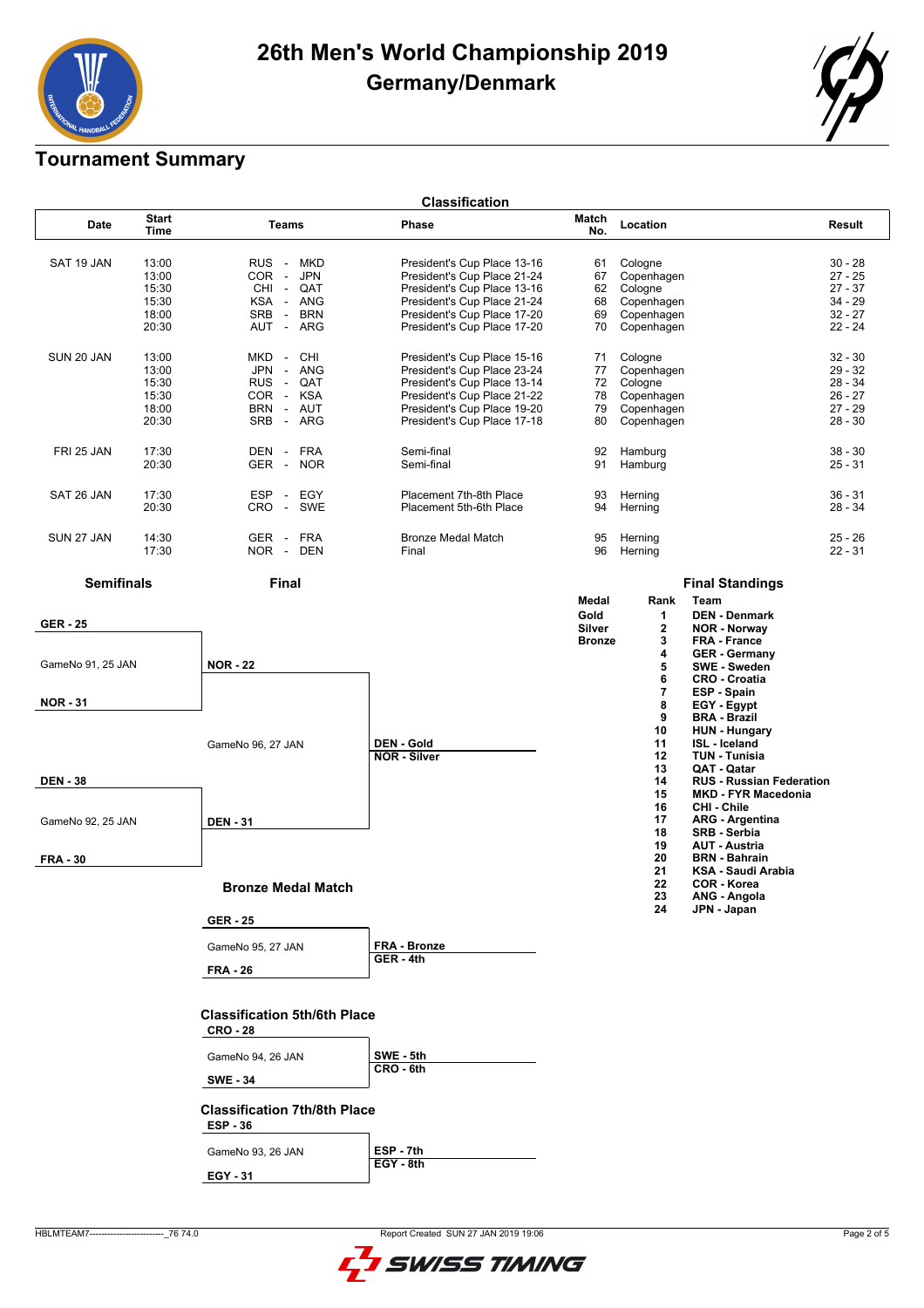

### **Tournament Summary**

| <b>Classification</b> |                                                    |                                                                                                                                                          |                                                                                                                                                                                        |                                  |                                                                            |                                                                            |  |  |  |
|-----------------------|----------------------------------------------------|----------------------------------------------------------------------------------------------------------------------------------------------------------|----------------------------------------------------------------------------------------------------------------------------------------------------------------------------------------|----------------------------------|----------------------------------------------------------------------------|----------------------------------------------------------------------------|--|--|--|
| Date                  | <b>Start</b><br>Time                               | Teams                                                                                                                                                    | Phase                                                                                                                                                                                  | Match<br>No.                     | Location                                                                   | Result                                                                     |  |  |  |
| SAT 19 JAN            | 13:00<br>13:00<br>15:30<br>15:30<br>18:00<br>20:30 | RUS -<br>MKD<br>COR -<br><b>JPN</b><br>CHI-<br>QAT<br>KSA - ANG<br><b>SRB</b><br>- BRN<br>ARG<br>AUT -                                                   | President's Cup Place 13-16<br>President's Cup Place 21-24<br>President's Cup Place 13-16<br>President's Cup Place 21-24<br>President's Cup Place 17-20<br>President's Cup Place 17-20 | 61<br>67<br>62<br>68<br>69<br>70 | Cologne<br>Copenhagen<br>Cologne<br>Copenhagen<br>Copenhagen<br>Copenhagen | $30 - 28$<br>$27 - 25$<br>$27 - 37$<br>$34 - 29$<br>$32 - 27$<br>$22 - 24$ |  |  |  |
| SUN 20 JAN            | 13:00<br>13:00<br>15:30<br>15:30<br>18:00<br>20:30 | <b>MKD</b><br><b>CHI</b><br>$\sim$<br><b>JPN</b><br>$\sim$<br><b>ANG</b><br>$\sim$<br>QAT<br><b>RUS</b><br>COR - KSA<br><b>BRN</b><br>- AUT<br>SRB - ARG | President's Cup Place 15-16<br>President's Cup Place 23-24<br>President's Cup Place 13-14<br>President's Cup Place 21-22<br>President's Cup Place 19-20<br>President's Cup Place 17-18 | 71<br>77<br>72<br>78<br>79<br>80 | Cologne<br>Copenhagen<br>Cologne<br>Copenhagen<br>Copenhagen<br>Copenhagen | $32 - 30$<br>$29 - 32$<br>$28 - 34$<br>$26 - 27$<br>$27 - 29$<br>$28 - 30$ |  |  |  |
| FRI 25 JAN            | 17:30<br>20:30                                     | <b>FRA</b><br>DEN -<br>GER -<br><b>NOR</b>                                                                                                               | Semi-final<br>Semi-final                                                                                                                                                               | 92<br>91                         | Hamburg<br>Hamburg                                                         | $38 - 30$<br>$25 - 31$                                                     |  |  |  |
| SAT 26 JAN            | 17:30<br>20:30                                     | EGY<br><b>ESP</b><br>$\sim$<br>CRO - SWE                                                                                                                 | Placement 7th-8th Place<br>Placement 5th-6th Place                                                                                                                                     | 93<br>94                         | Herning<br>Herning                                                         | $36 - 31$<br>$28 - 34$                                                     |  |  |  |
| SUN 27 JAN            | 14:30<br>17:30                                     | GER - FRA<br>NOR -<br><b>DEN</b>                                                                                                                         | <b>Bronze Medal Match</b><br>Final                                                                                                                                                     | 95<br>96                         | Herning<br>Herning                                                         | $25 - 26$<br>$22 - 31$                                                     |  |  |  |
| <b>Semifinals</b>     |                                                    | <b>Final</b>                                                                                                                                             |                                                                                                                                                                                        |                                  |                                                                            | <b>Final Standings</b>                                                     |  |  |  |
|                       |                                                    |                                                                                                                                                          |                                                                                                                                                                                        | Medal                            | Rank                                                                       | Team                                                                       |  |  |  |
| <b>GER - 25</b>       |                                                    |                                                                                                                                                          |                                                                                                                                                                                        | Gold                             | 1                                                                          | <b>DEN - Denmark</b>                                                       |  |  |  |
|                       |                                                    |                                                                                                                                                          |                                                                                                                                                                                        | Silver<br><b>Bronze</b>          | $\mathbf{2}$<br>3                                                          | <b>NOR - Norway</b><br>FRA - France                                        |  |  |  |
|                       |                                                    |                                                                                                                                                          |                                                                                                                                                                                        |                                  | 4                                                                          | <b>GER</b> - Germany                                                       |  |  |  |
| GameNo 91, 25 JAN     |                                                    | <b>NOR - 22</b>                                                                                                                                          |                                                                                                                                                                                        |                                  | 5<br>6                                                                     | <b>SWE - Sweden</b><br><b>CRO - Croatia</b>                                |  |  |  |
|                       |                                                    |                                                                                                                                                          |                                                                                                                                                                                        |                                  | 7                                                                          | ESP - Spain                                                                |  |  |  |
| <b>NOR - 31</b>       |                                                    |                                                                                                                                                          |                                                                                                                                                                                        |                                  | 8                                                                          | EGY - Egypt                                                                |  |  |  |
|                       |                                                    |                                                                                                                                                          |                                                                                                                                                                                        |                                  | 9<br>10                                                                    | <b>BRA - Brazil</b><br><b>HUN - Hungary</b>                                |  |  |  |
|                       |                                                    | GameNo 96, 27 JAN                                                                                                                                        | <b>DEN - Gold</b>                                                                                                                                                                      |                                  | 11                                                                         | <b>ISL</b> - Iceland                                                       |  |  |  |
|                       |                                                    |                                                                                                                                                          | <b>NOR - Silver</b>                                                                                                                                                                    |                                  | 12                                                                         | <b>TUN - Tunisia</b>                                                       |  |  |  |
| <b>DEN - 38</b>       |                                                    |                                                                                                                                                          |                                                                                                                                                                                        |                                  | 13<br>14                                                                   | QAT - Qatar<br><b>RUS - Russian Federation</b>                             |  |  |  |
|                       |                                                    |                                                                                                                                                          |                                                                                                                                                                                        |                                  | 15                                                                         | <b>MKD - FYR Macedonia</b>                                                 |  |  |  |
|                       |                                                    |                                                                                                                                                          |                                                                                                                                                                                        |                                  | 16                                                                         | CHI - Chile                                                                |  |  |  |
| GameNo 92, 25 JAN     |                                                    | <b>DEN - 31</b>                                                                                                                                          |                                                                                                                                                                                        |                                  | 17<br>18                                                                   | <b>ARG</b> - Argentina<br><b>SRB - Serbia</b>                              |  |  |  |
|                       |                                                    |                                                                                                                                                          |                                                                                                                                                                                        |                                  | 19                                                                         | <b>AUT - Austria</b>                                                       |  |  |  |
| <b>FRA - 30</b>       |                                                    |                                                                                                                                                          |                                                                                                                                                                                        |                                  | 20<br>21                                                                   | <b>BRN</b> - Bahrain<br><b>KSA - Saudi Arabia</b>                          |  |  |  |
|                       |                                                    | <b>Bronze Medal Match</b>                                                                                                                                |                                                                                                                                                                                        |                                  | 22                                                                         | <b>COR - Korea</b>                                                         |  |  |  |
|                       |                                                    |                                                                                                                                                          |                                                                                                                                                                                        |                                  | 23<br>24                                                                   | ANG - Angola<br>JPN - Japan                                                |  |  |  |
|                       |                                                    | <b>GER - 25</b>                                                                                                                                          |                                                                                                                                                                                        |                                  |                                                                            |                                                                            |  |  |  |
|                       |                                                    | GameNo 95, 27 JAN                                                                                                                                        | FRA - Bronze                                                                                                                                                                           |                                  |                                                                            |                                                                            |  |  |  |
|                       |                                                    | <b>FRA - 26</b>                                                                                                                                          | GER - 4th                                                                                                                                                                              |                                  |                                                                            |                                                                            |  |  |  |
|                       |                                                    |                                                                                                                                                          |                                                                                                                                                                                        |                                  |                                                                            |                                                                            |  |  |  |
|                       |                                                    | <b>Classification 5th/6th Place</b>                                                                                                                      |                                                                                                                                                                                        |                                  |                                                                            |                                                                            |  |  |  |
|                       |                                                    | <b>CRO - 28</b>                                                                                                                                          |                                                                                                                                                                                        |                                  |                                                                            |                                                                            |  |  |  |
|                       |                                                    |                                                                                                                                                          |                                                                                                                                                                                        |                                  |                                                                            |                                                                            |  |  |  |
|                       |                                                    | GameNo 94, 26 JAN                                                                                                                                        | SWE - 5th<br>CRO - 6th                                                                                                                                                                 |                                  |                                                                            |                                                                            |  |  |  |
|                       |                                                    | <b>SWE - 34</b>                                                                                                                                          |                                                                                                                                                                                        |                                  |                                                                            |                                                                            |  |  |  |
|                       |                                                    | <b>Classification 7th/8th Place</b>                                                                                                                      |                                                                                                                                                                                        |                                  |                                                                            |                                                                            |  |  |  |
|                       |                                                    | <b>ESP - 36</b>                                                                                                                                          |                                                                                                                                                                                        |                                  |                                                                            |                                                                            |  |  |  |
|                       |                                                    |                                                                                                                                                          |                                                                                                                                                                                        |                                  |                                                                            |                                                                            |  |  |  |
|                       |                                                    | GameNo 93, 26 JAN                                                                                                                                        | ESP-7th<br>$EGY - 8th$                                                                                                                                                                 |                                  |                                                                            |                                                                            |  |  |  |
|                       |                                                    | EGY - 31                                                                                                                                                 |                                                                                                                                                                                        |                                  |                                                                            |                                                                            |  |  |  |
|                       |                                                    |                                                                                                                                                          |                                                                                                                                                                                        |                                  |                                                                            |                                                                            |  |  |  |

HBLMTEAM7-------------------------\_76 74.0 Report Created SUN 27 JAN 2019 19:06

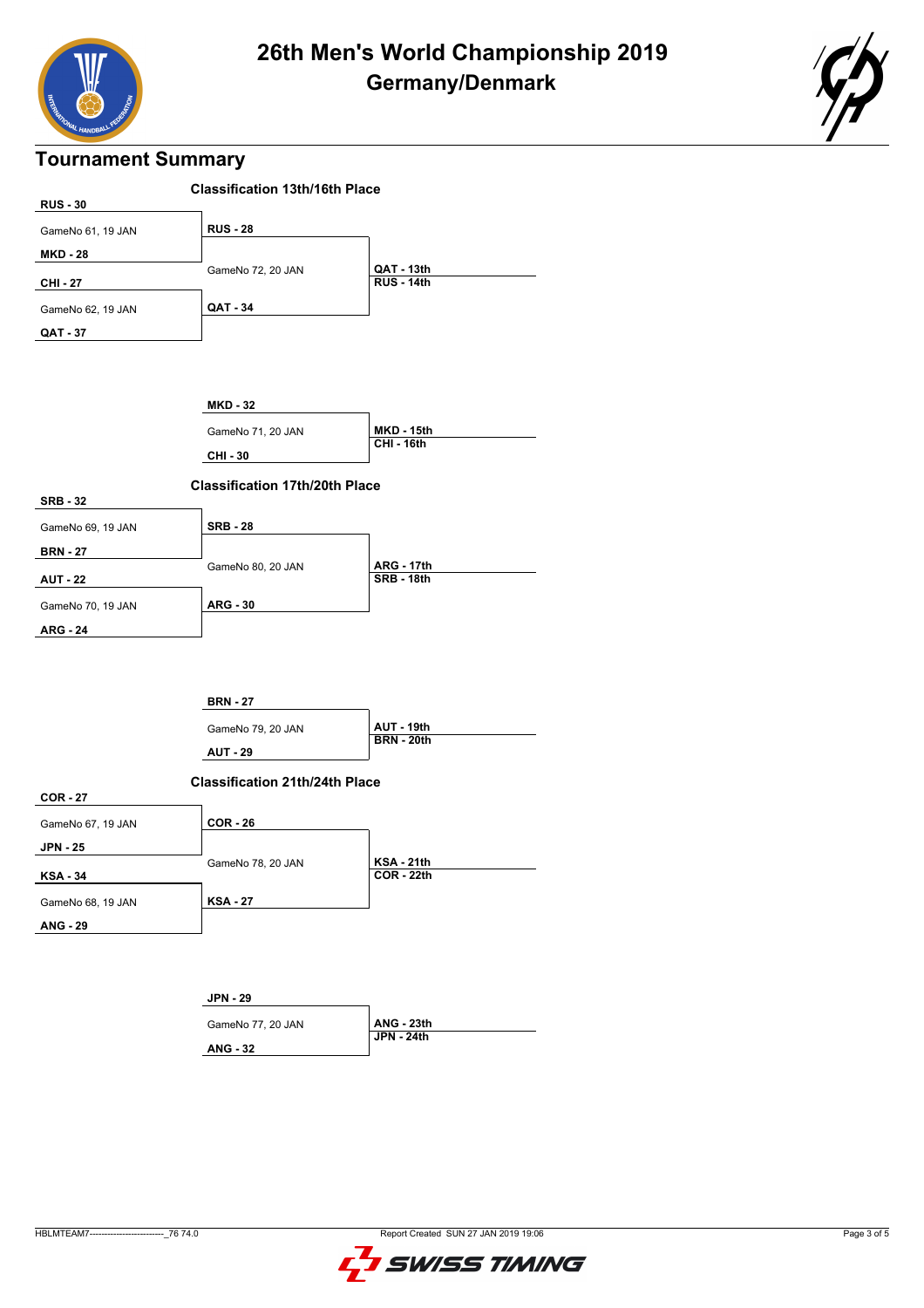



#### **Tournament Summary**



**ANG - 29**

GameNo 68, 19 JAN

**KSA - 27**

**JPN - 29**

**ANG - 32**

GameNo 77, 20 JAN **ANG - 23th**

**JPN - 24th**

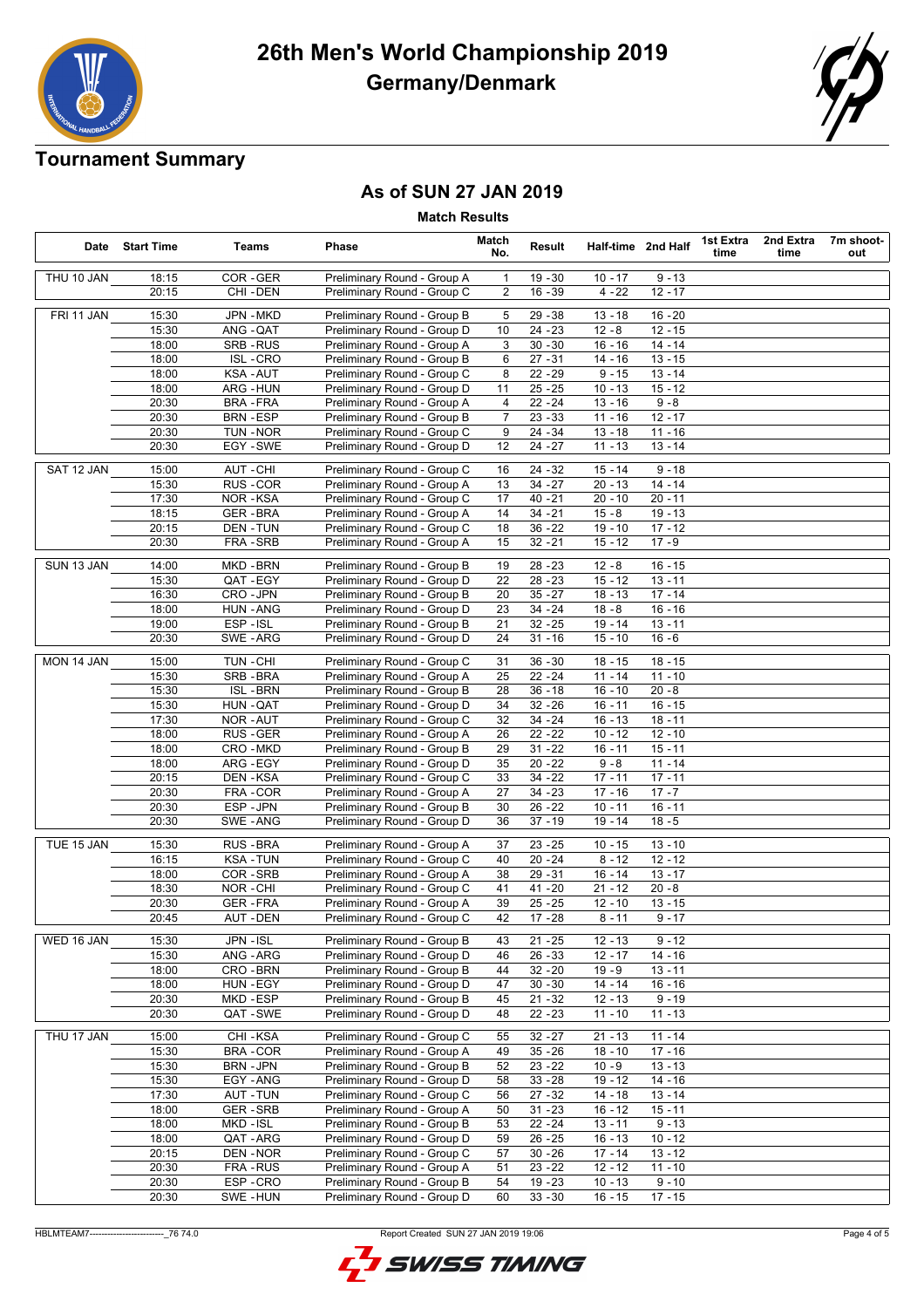

### **Tournament Summary**

#### **As of SUN 27 JAN 2019**

**Match Results**

|            | Date Start Time | Teams            | Phase                       | Match<br>No.   | Result    |           | Half-time 2nd Half | 1st Extra<br>time | 2nd Extra<br>time | 7m shoot-<br>out |
|------------|-----------------|------------------|-----------------------------|----------------|-----------|-----------|--------------------|-------------------|-------------------|------------------|
| THU 10 JAN | 18:15           | COR-GER          | Preliminary Round - Group A | -1             | $19 - 30$ | $10 - 17$ | $9 - 13$           |                   |                   |                  |
|            | 20:15           | CHI-DEN          | Preliminary Round - Group C | 2              | $16 - 39$ | $4 - 22$  | $12 - 17$          |                   |                   |                  |
| FRI 11 JAN | 15:30           | JPN - MKD        | Preliminary Round - Group B | 5              | $29 - 38$ | $13 - 18$ | $16 - 20$          |                   |                   |                  |
|            | 15:30           | ANG - QAT        | Preliminary Round - Group D | 10             | $24 - 23$ | $12 - 8$  | $12 - 15$          |                   |                   |                  |
|            | 18:00           | SRB-RUS          | Preliminary Round - Group A | 3              | $30 - 30$ | $16 - 16$ | $14 - 14$          |                   |                   |                  |
|            | 18:00           | <b>ISL-CRO</b>   | Preliminary Round - Group B | 6              | $27 - 31$ | $14 - 16$ | $13 - 15$          |                   |                   |                  |
|            | 18:00           | <b>KSA-AUT</b>   | Preliminary Round - Group C | 8              | $22 - 29$ | $9 - 15$  | $13 - 14$          |                   |                   |                  |
|            | 18:00           | ARG - HUN        | Preliminary Round - Group D | 11             | $25 - 25$ | $10 - 13$ | $15 - 12$          |                   |                   |                  |
|            | 20:30           | <b>BRA - FRA</b> | Preliminary Round - Group A | 4              | $22 - 24$ | $13 - 16$ | $9 - 8$            |                   |                   |                  |
|            | 20:30           | <b>BRN - ESP</b> | Preliminary Round - Group B | $\overline{7}$ | $23 - 33$ | $11 - 16$ | $12 - 17$          |                   |                   |                  |
|            | 20:30           | TUN - NOR        | Preliminary Round - Group C | 9              | 24 - 34   | $13 - 18$ | $11 - 16$          |                   |                   |                  |
|            | 20:30           | EGY - SWE        | Preliminary Round - Group D | 12             | $24 - 27$ | $11 - 13$ | $13 - 14$          |                   |                   |                  |
| SAT 12 JAN | 15:00           | AUT - CHI        | Preliminary Round - Group C | 16             | 24 - 32   | 15 - 14   | $9 - 18$           |                   |                   |                  |
|            | 15:30           | RUS - COR        | Preliminary Round - Group A | 13             | $34 - 27$ | 20 - 13   | $14 - 14$          |                   |                   |                  |
|            | 17:30           | <b>NOR-KSA</b>   | Preliminary Round - Group C | 17             | $40 - 21$ | $20 - 10$ | $20 - 11$          |                   |                   |                  |
|            | 18:15           | <b>GER-BRA</b>   | Preliminary Round - Group A | 14             | $34 - 21$ | $15 - 8$  | $19 - 13$          |                   |                   |                  |
|            | 20:15           | DEN - TUN        | Preliminary Round - Group C | 18             | $36 - 22$ | $19 - 10$ | $17 - 12$          |                   |                   |                  |
|            | 20:30           | FRA - SRB        | Preliminary Round - Group A | 15             | $32 - 21$ | $15 - 12$ | $17 - 9$           |                   |                   |                  |
| SUN 13 JAN | 14:00           | MKD-BRN          | Preliminary Round - Group B | 19             | $28 - 23$ | $12 - 8$  | $16 - 15$          |                   |                   |                  |
|            | 15:30           | QAT-EGY          | Preliminary Round - Group D | 22             | $28 - 23$ | $15 - 12$ | $13 - 11$          |                   |                   |                  |
|            | 16:30           | CRO-JPN          | Preliminary Round - Group B | 20             | $35 - 27$ | $18 - 13$ | $17 - 14$          |                   |                   |                  |
|            | 18:00           | <b>HUN - ANG</b> | Preliminary Round - Group D | 23             | 34 - 24   | $18 - 8$  | $16 - 16$          |                   |                   |                  |
|            | 19:00           | ESP-ISL          | Preliminary Round - Group B | 21             | $32 - 25$ | $19 - 14$ | $13 - 11$          |                   |                   |                  |
|            | 20:30           | SWE-ARG          | Preliminary Round - Group D | 24             | $31 - 16$ | $15 - 10$ | $16 - 6$           |                   |                   |                  |
| MON 14 JAN | 15:00           | TUN - CHI        | Preliminary Round - Group C | 31             | $36 - 30$ | 18 - 15   | $18 - 15$          |                   |                   |                  |
|            | 15:30           | SRB-BRA          | Preliminary Round - Group A | 25             | $22 - 24$ | $11 - 14$ | $11 - 10$          |                   |                   |                  |
|            | 15:30           | <b>ISL-BRN</b>   | Preliminary Round - Group B | 28             | $36 - 18$ | $16 - 10$ | $20 - 8$           |                   |                   |                  |
|            | 15:30           | HUN - QAT        | Preliminary Round - Group D | 34             | $32 - 26$ | 16 - 11   | $16 - 15$          |                   |                   |                  |
|            | 17:30           | NOR-AUT          | Preliminary Round - Group C | 32             | $34 - 24$ | $16 - 13$ | $18 - 11$          |                   |                   |                  |
|            | 18:00           | RUS - GER        | Preliminary Round - Group A | 26             | $22 - 22$ | $10 - 12$ | $12 - 10$          |                   |                   |                  |
|            | 18:00           | CRO - MKD        | Preliminary Round - Group B | 29             | $31 - 22$ | $16 - 11$ | $15 - 11$          |                   |                   |                  |
|            | 18:00           | ARG - EGY        | Preliminary Round - Group D | 35             | $20 - 22$ | $9 - 8$   | $11 - 14$          |                   |                   |                  |
|            | 20:15           | DEN - KSA        | Preliminary Round - Group C | 33             | $34 - 22$ | $17 - 11$ | $17 - 11$          |                   |                   |                  |
|            | 20:30           | FRA - COR        | Preliminary Round - Group A | 27             | $34 - 23$ | $17 - 16$ | $17 - 7$           |                   |                   |                  |
|            | 20:30           | ESP-JPN          | Preliminary Round - Group B | 30             | $26 - 22$ | $10 - 11$ | $16 - 11$          |                   |                   |                  |
|            | 20:30           | SWE-ANG          | Preliminary Round - Group D | 36             | 37 - 19   | 19 - 14   | $18 - 5$           |                   |                   |                  |
| TUE 15 JAN | 15:30           | RUS - BRA        | Preliminary Round - Group A | 37             | $23 - 25$ | $10 - 15$ | $13 - 10$          |                   |                   |                  |
|            | 16:15           | <b>KSA-TUN</b>   | Preliminary Round - Group C | 40             | $20 - 24$ | $8 - 12$  | $12 - 12$          |                   |                   |                  |
|            | 18:00           | COR-SRB          | Preliminary Round - Group A | 38             | $29 - 31$ | $16 - 14$ | $13 - 17$          |                   |                   |                  |
|            | 18:30           | NOR-CHI          | Preliminary Round - Group C | 41             | $41 - 20$ | 21 - 12   | $20 - 8$           |                   |                   |                  |
|            | 20:30           | <b>GER-FRA</b>   | Preliminary Round - Group A | 39             | $25 - 25$ | $12 - 10$ | $13 - 15$          |                   |                   |                  |
|            | 20:45           | <b>AUT - DEN</b> | Preliminary Round - Group C | 42             | $17 - 28$ | $8 - 11$  | $9 - 17$           |                   |                   |                  |
| WED 16 JAN | 15:30           | JPN - ISL        | Preliminary Round - Group B | 43             | $21 - 25$ | $12 - 13$ | $9 - 12$           |                   |                   |                  |
|            | 15:30           | ANG - ARG        | Preliminary Round - Group D | 46             | $26 - 33$ | $12 - 17$ | 14 - 16            |                   |                   |                  |
|            | 18:00           | CRO - BRN        | Preliminary Round - Group B | 44             | $32 - 20$ | $19 - 9$  | $13 - 11$          |                   |                   |                  |
|            | 18:00           | HUN - EGY        | Preliminary Round - Group D | 47             | $30 - 30$ | $14 - 14$ | $16 - 16$          |                   |                   |                  |
|            | 20:30           | MKD-ESP          | Preliminary Round - Group B | 45             | $21 - 32$ | $12 - 13$ | $9 - 19$           |                   |                   |                  |
|            | 20:30           | QAT - SWE        | Preliminary Round - Group D | 48             | $22 - 23$ | $11 - 10$ | $11 - 13$          |                   |                   |                  |
| THU 17 JAN | 15:00           | CHI-KSA          | Preliminary Round - Group C | 55             | $32 - 27$ | $21 - 13$ | $11 - 14$          |                   |                   |                  |
|            | 15:30           | BRA-COR          | Preliminary Round - Group A | 49             | $35 - 26$ | $18 - 10$ | $17 - 16$          |                   |                   |                  |
|            | 15:30           | BRN - JPN        | Preliminary Round - Group B | 52             | $23 - 22$ | $10 - 9$  | $13 - 13$          |                   |                   |                  |
|            | 15:30           | EGY-ANG          | Preliminary Round - Group D | 58             | $33 - 28$ | $19 - 12$ | $14 - 16$          |                   |                   |                  |
|            | 17:30           | <b>AUT - TUN</b> | Preliminary Round - Group C | 56             | $27 - 32$ | $14 - 18$ | $13 - 14$          |                   |                   |                  |
|            | 18:00           | <b>GER-SRB</b>   | Preliminary Round - Group A | 50             | $31 - 23$ | $16 - 12$ | $15 - 11$          |                   |                   |                  |
|            | 18:00           | MKD-ISL          | Preliminary Round - Group B | 53             | $22 - 24$ | $13 - 11$ | $9 - 13$           |                   |                   |                  |
|            | 18:00           | QAT - ARG        | Preliminary Round - Group D | 59             | $26 - 25$ | $16 - 13$ | $10 - 12$          |                   |                   |                  |
|            | 20:15           | DEN-NOR          | Preliminary Round - Group C | 57             | $30 - 26$ | $17 - 14$ | $13 - 12$          |                   |                   |                  |
|            | 20:30           | FRA - RUS        | Preliminary Round - Group A | 51             | $23 - 22$ | $12 - 12$ | $11 - 10$          |                   |                   |                  |
|            | 20:30           | ESP-CRO          | Preliminary Round - Group B | 54             | $19 - 23$ | $10 - 13$ | $9 - 10$           |                   |                   |                  |
|            | 20:30           | SWE-HUN          | Preliminary Round - Group D | 60             | $33 - 30$ | $16 - 15$ | $17 - 15$          |                   |                   |                  |

HBLMTEAM7-------------------------\_76 74.0 Report Created SUN 27 JAN 2019 19:06